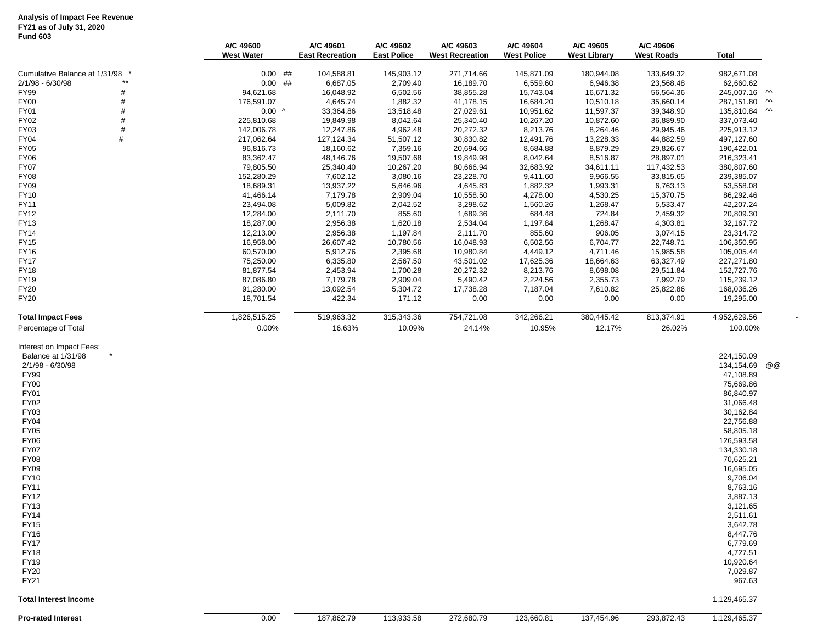### **Analysis of Impact Fee Revenue FY21 as of July 31, 2020**

# **Fund 603**

|                                                                                                                                                                                                                                                                                                                                                                     | A/C 49600<br><b>West Water</b> | A/C 49601<br><b>East Recreation</b> | A/C 49602<br><b>East Police</b> | A/C 49603<br><b>West Recreation</b> | A/C 49604<br><b>West Police</b> | A/C 49605<br><b>West Library</b> | A/C 49606<br><b>West Roads</b> | Total                                                                                                                                                                                                                                                                                                                    |                           |
|---------------------------------------------------------------------------------------------------------------------------------------------------------------------------------------------------------------------------------------------------------------------------------------------------------------------------------------------------------------------|--------------------------------|-------------------------------------|---------------------------------|-------------------------------------|---------------------------------|----------------------------------|--------------------------------|--------------------------------------------------------------------------------------------------------------------------------------------------------------------------------------------------------------------------------------------------------------------------------------------------------------------------|---------------------------|
| Cumulative Balance at 1/31/98 *                                                                                                                                                                                                                                                                                                                                     | $0.00$ ##                      | 104,588.81                          | 145,903.12                      | 271,714.66                          | 145,871.09                      | 180,944.08                       | 133,649.32                     | 982,671.08                                                                                                                                                                                                                                                                                                               |                           |
| 2/1/98 - 6/30/98                                                                                                                                                                                                                                                                                                                                                    | $0.00$ ##                      | 6,687.05                            | 2,709.40                        | 16,189.70                           | 6,559.60                        | 6,946.38                         | 23,568.48                      | 62,660.62                                                                                                                                                                                                                                                                                                                |                           |
| FY99                                                                                                                                                                                                                                                                                                                                                                | 94,621.68                      | 16,048.92                           | 6,502.56                        | 38,855.28                           | 15,743.04                       | 16,671.32                        | 56,564.36                      | 245,007.16 M                                                                                                                                                                                                                                                                                                             |                           |
| <b>FY00</b><br>#                                                                                                                                                                                                                                                                                                                                                    | 176,591.07                     | 4,645.74                            | 1,882.32                        | 41,178.15                           | 16,684.20                       | 10,510.18                        | 35,660.14                      | 287,151.80                                                                                                                                                                                                                                                                                                               | $\boldsymbol{\mathsf{w}}$ |
| FY01                                                                                                                                                                                                                                                                                                                                                                | $0.00$ ^                       | 33,364.86                           | 13,518.48                       | 27,029.61                           | 10,951.62                       | 11,597.37                        | 39,348.90                      | 135,810.84 M                                                                                                                                                                                                                                                                                                             |                           |
| FY02                                                                                                                                                                                                                                                                                                                                                                | 225,810.68                     | 19,849.98                           | 8,042.64                        | 25,340.40                           | 10,267.20                       | 10,872.60                        | 36,889.90                      | 337,073.40                                                                                                                                                                                                                                                                                                               |                           |
| FY03<br>#                                                                                                                                                                                                                                                                                                                                                           | 142,006.78                     | 12,247.86                           | 4,962.48                        | 20,272.32                           | 8,213.76                        | 8,264.46                         | 29,945.46                      | 225,913.12                                                                                                                                                                                                                                                                                                               |                           |
| FY04<br>FY05                                                                                                                                                                                                                                                                                                                                                        | 217,062.64<br>96,816.73        | 127, 124.34<br>18,160.62            | 51,507.12<br>7,359.16           | 30,830.82<br>20,694.66              | 12,491.76<br>8,684.88           | 13,228.33<br>8,879.29            | 44,882.59<br>29,826.67         | 497,127.60<br>190,422.01                                                                                                                                                                                                                                                                                                 |                           |
| <b>FY06</b>                                                                                                                                                                                                                                                                                                                                                         | 83,362.47                      | 48,146.76                           | 19,507.68                       | 19,849.98                           | 8,042.64                        | 8,516.87                         | 28,897.01                      | 216,323.41                                                                                                                                                                                                                                                                                                               |                           |
| <b>FY07</b>                                                                                                                                                                                                                                                                                                                                                         | 79,805.50                      | 25,340.40                           | 10,267.20                       | 80,666.94                           | 32,683.92                       | 34,611.11                        | 117,432.53                     | 380,807.60                                                                                                                                                                                                                                                                                                               |                           |
| FY08                                                                                                                                                                                                                                                                                                                                                                | 152,280.29                     | 7,602.12                            | 3,080.16                        | 23,228.70                           | 9,411.60                        | 9,966.55                         | 33,815.65                      | 239,385.07                                                                                                                                                                                                                                                                                                               |                           |
| FY09                                                                                                                                                                                                                                                                                                                                                                | 18,689.31                      | 13,937.22                           | 5,646.96                        | 4,645.83                            | 1,882.32                        | 1,993.31                         | 6,763.13                       | 53,558.08                                                                                                                                                                                                                                                                                                                |                           |
| FY10                                                                                                                                                                                                                                                                                                                                                                | 41,466.14                      | 7,179.78                            | 2,909.04                        | 10,558.50                           | 4,278.00                        | 4,530.25                         | 15,370.75                      | 86,292.46                                                                                                                                                                                                                                                                                                                |                           |
| FY11                                                                                                                                                                                                                                                                                                                                                                | 23,494.08                      | 5,009.82                            | 2,042.52                        | 3,298.62                            | 1,560.26                        | 1,268.47                         | 5,533.47                       | 42,207.24                                                                                                                                                                                                                                                                                                                |                           |
| FY12                                                                                                                                                                                                                                                                                                                                                                | 12,284.00                      | 2,111.70                            | 855.60                          | 1,689.36                            | 684.48                          | 724.84                           | 2,459.32                       | 20,809.30                                                                                                                                                                                                                                                                                                                |                           |
| <b>FY13</b>                                                                                                                                                                                                                                                                                                                                                         | 18,287.00                      | 2,956.38                            | 1,620.18                        | 2,534.04                            | 1,197.84                        | 1,268.47                         | 4,303.81                       | 32,167.72                                                                                                                                                                                                                                                                                                                |                           |
| FY14                                                                                                                                                                                                                                                                                                                                                                | 12,213.00                      | 2,956.38                            | 1,197.84                        | 2,111.70                            | 855.60                          | 906.05                           | 3,074.15                       | 23,314.72                                                                                                                                                                                                                                                                                                                |                           |
| FY15                                                                                                                                                                                                                                                                                                                                                                | 16,958.00                      | 26,607.42                           | 10,780.56                       | 16,048.93                           | 6,502.56                        | 6,704.77                         | 22,748.71                      | 106,350.95                                                                                                                                                                                                                                                                                                               |                           |
| FY16<br><b>FY17</b>                                                                                                                                                                                                                                                                                                                                                 | 60,570.00<br>75,250.00         | 5,912.76<br>6,335.80                | 2,395.68<br>2,567.50            | 10,980.84<br>43,501.02              | 4,449.12<br>17,625.36           | 4,711.46<br>18,664.63            | 15,985.58<br>63,327.49         | 105,005.44<br>227,271.80                                                                                                                                                                                                                                                                                                 |                           |
| <b>FY18</b>                                                                                                                                                                                                                                                                                                                                                         | 81,877.54                      | 2,453.94                            | 1,700.28                        | 20,272.32                           | 8,213.76                        | 8,698.08                         | 29,511.84                      | 152,727.76                                                                                                                                                                                                                                                                                                               |                           |
| FY19                                                                                                                                                                                                                                                                                                                                                                | 87,086.80                      | 7,179.78                            | 2,909.04                        | 5,490.42                            | 2,224.56                        | 2,355.73                         | 7,992.79                       | 115,239.12                                                                                                                                                                                                                                                                                                               |                           |
| FY20                                                                                                                                                                                                                                                                                                                                                                | 91,280.00                      | 13,092.54                           | 5,304.72                        | 17,738.28                           | 7,187.04                        | 7,610.82                         | 25,822.86                      | 168,036.26                                                                                                                                                                                                                                                                                                               |                           |
| FY20                                                                                                                                                                                                                                                                                                                                                                | 18,701.54                      | 422.34                              | 171.12                          | 0.00                                | 0.00                            | 0.00                             | 0.00                           | 19,295.00                                                                                                                                                                                                                                                                                                                |                           |
| <b>Total Impact Fees</b>                                                                                                                                                                                                                                                                                                                                            | 1,826,515.25                   | 519,963.32                          | 315,343.36                      | 754,721.08                          | 342,266.21                      | 380,445.42                       | 813,374.91                     | 4,952,629.56                                                                                                                                                                                                                                                                                                             |                           |
| Percentage of Total                                                                                                                                                                                                                                                                                                                                                 | 0.00%                          | 16.63%                              | 10.09%                          | 24.14%                              | 10.95%                          | 12.17%                           | 26.02%                         | 100.00%                                                                                                                                                                                                                                                                                                                  |                           |
| Interest on Impact Fees:<br>Balance at 1/31/98<br>2/1/98 - 6/30/98<br><b>FY99</b><br><b>FY00</b><br><b>FY01</b><br><b>FY02</b><br>FY03<br><b>FY04</b><br>FY05<br><b>FY06</b><br><b>FY07</b><br><b>FY08</b><br>FY09<br>FY10<br>FY11<br>FY12<br>FY13<br><b>FY14</b><br><b>FY15</b><br><b>FY16</b><br><b>FY17</b><br><b>FY18</b><br><b>FY19</b><br><b>FY20</b><br>FY21 |                                |                                     |                                 |                                     |                                 |                                  |                                | 224,150.09<br>134,154.69<br>47,108.89<br>75,669.86<br>86,840.97<br>31,066.48<br>30,162.84<br>22,756.88<br>58,805.18<br>126,593.58<br>134,330.18<br>70,625.21<br>16,695.05<br>9,706.04<br>8,763.16<br>3,887.13<br>3,121.65<br>2,511.61<br>3,642.78<br>8,447.76<br>6,779.69<br>4,727.51<br>10,920.64<br>7.029.87<br>967.63 | @ @                       |
| <b>Total Interest Income</b>                                                                                                                                                                                                                                                                                                                                        |                                |                                     |                                 |                                     |                                 |                                  |                                | 1,129,465.37                                                                                                                                                                                                                                                                                                             |                           |
| <b>Pro-rated Interest</b>                                                                                                                                                                                                                                                                                                                                           | 0.00                           | 187,862.79                          | 113,933.58                      | 272,680.79                          | 123,660.81                      | 137,454.96                       | 293,872.43                     | 1,129,465.37                                                                                                                                                                                                                                                                                                             |                           |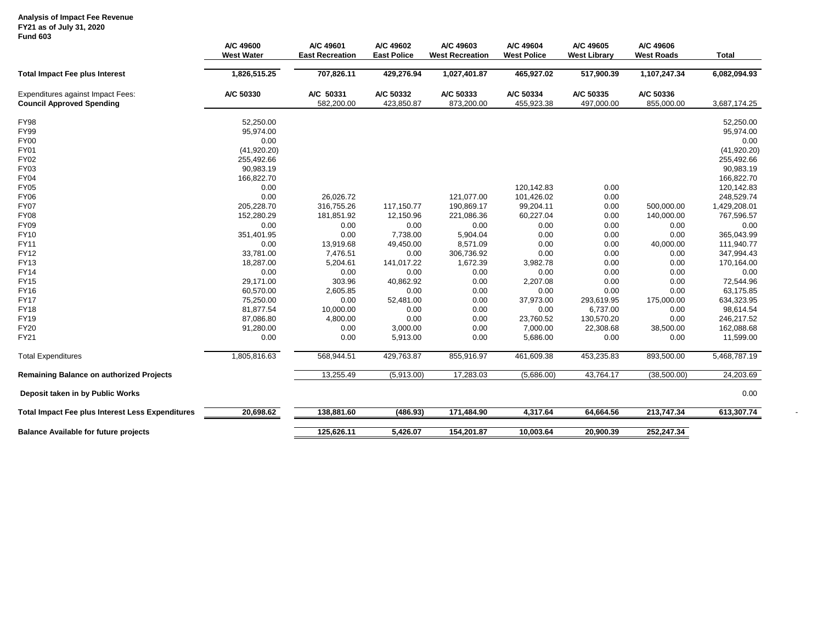## **Analysis of Impact Fee Revenue**

#### **FY21 as of July 31, 2020**

| <b>Fund 603</b>                                                       | A/C 49600<br><b>West Water</b> | A/C 49601<br><b>East Recreation</b> | A/C 49602<br><b>East Police</b> | A/C 49603<br><b>West Recreation</b> | A/C 49604<br><b>West Police</b> | A/C 49605<br><b>West Library</b> | A/C 49606<br><b>West Roads</b> | <b>Total</b> |
|-----------------------------------------------------------------------|--------------------------------|-------------------------------------|---------------------------------|-------------------------------------|---------------------------------|----------------------------------|--------------------------------|--------------|
| <b>Total Impact Fee plus Interest</b>                                 | 1,826,515.25                   | 707,826.11                          | 429,276.94                      | 1,027,401.87                        | 465,927.02                      | 517,900.39                       | 1,107,247.34                   | 6,082,094.93 |
| Expenditures against Impact Fees:<br><b>Council Approved Spending</b> | A/C 50330                      | A/C 50331<br>582,200.00             | A/C 50332<br>423,850.87         | A/C 50333<br>873,200.00             | A/C 50334<br>455,923.38         | A/C 50335<br>497,000.00          | A/C 50336<br>855,000.00        | 3,687,174.25 |
| <b>FY98</b>                                                           | 52,250.00                      |                                     |                                 |                                     |                                 |                                  |                                | 52,250.00    |
| <b>FY99</b>                                                           | 95,974.00                      |                                     |                                 |                                     |                                 |                                  |                                | 95,974.00    |
| FY00                                                                  | 0.00                           |                                     |                                 |                                     |                                 |                                  |                                | 0.00         |
| <b>FY01</b>                                                           | (41, 920.20)                   |                                     |                                 |                                     |                                 |                                  |                                | (41, 920.20) |
| FY02                                                                  | 255,492.66                     |                                     |                                 |                                     |                                 |                                  |                                | 255,492.66   |
| FY03                                                                  | 90,983.19                      |                                     |                                 |                                     |                                 |                                  |                                | 90,983.19    |
| FY04                                                                  | 166,822.70                     |                                     |                                 |                                     |                                 |                                  |                                | 166,822.70   |
| <b>FY05</b>                                                           | 0.00                           |                                     |                                 |                                     | 120,142.83                      | 0.00                             |                                | 120,142.83   |
| <b>FY06</b>                                                           | 0.00                           | 26,026.72                           |                                 | 121,077.00                          | 101,426.02                      | 0.00                             |                                | 248,529.74   |
| <b>FY07</b>                                                           | 205,228.70                     | 316,755.26                          | 117,150.77                      | 190,869.17                          | 99,204.11                       | 0.00                             | 500,000.00                     | 1,429,208.01 |
| <b>FY08</b>                                                           | 152,280.29                     | 181,851.92                          | 12,150.96                       | 221,086.36                          | 60,227.04                       | 0.00                             | 140,000.00                     | 767,596.57   |
| <b>FY09</b>                                                           | 0.00                           | 0.00                                | 0.00                            | 0.00                                | 0.00                            | 0.00                             | 0.00                           | 0.00         |
| <b>FY10</b>                                                           | 351,401.95                     | 0.00                                | 7,738.00                        | 5,904.04                            | 0.00                            | 0.00                             | 0.00                           | 365,043.99   |
| <b>FY11</b>                                                           | 0.00                           | 13,919.68                           | 49,450.00                       | 8,571.09                            | 0.00                            | 0.00                             | 40,000.00                      | 111,940.77   |
| <b>FY12</b>                                                           | 33,781.00                      | 7,476.51                            | 0.00                            | 306,736.92                          | 0.00                            | 0.00                             | 0.00                           | 347,994.43   |
| <b>FY13</b>                                                           | 18,287.00                      | 5,204.61                            | 141,017.22                      | 1,672.39                            | 3,982.78                        | 0.00                             | 0.00                           | 170,164.00   |
| <b>FY14</b>                                                           | 0.00                           | 0.00                                | 0.00                            | 0.00                                | 0.00                            | 0.00                             | 0.00                           | 0.00         |
| <b>FY15</b>                                                           | 29,171.00                      | 303.96                              | 40,862.92                       | 0.00                                | 2,207.08                        | 0.00                             | 0.00                           | 72,544.96    |
| <b>FY16</b>                                                           | 60,570.00                      | 2,605.85                            | 0.00                            | 0.00                                | 0.00                            | 0.00                             | 0.00                           | 63,175.85    |
| <b>FY17</b>                                                           | 75,250.00                      | 0.00                                | 52,481.00                       | 0.00                                | 37,973.00                       | 293,619.95                       | 175,000.00                     | 634,323.95   |
| <b>FY18</b>                                                           | 81,877.54                      | 10,000.00                           | 0.00                            | 0.00                                | 0.00                            | 6,737.00                         | 0.00                           | 98,614.54    |
| <b>FY19</b>                                                           | 87,086.80                      | 4,800.00                            | 0.00                            | 0.00                                | 23,760.52                       | 130,570.20                       | 0.00                           | 246,217.52   |
| <b>FY20</b>                                                           | 91,280.00                      | 0.00                                | 3,000.00                        | 0.00                                | 7,000.00                        | 22,308.68                        | 38,500.00                      | 162,088.68   |
| <b>FY21</b>                                                           | 0.00                           | 0.00                                | 5,913.00                        | 0.00                                | 5,686.00                        | 0.00                             | 0.00                           | 11,599.00    |
| <b>Total Expenditures</b>                                             | 1,805,816.63                   | 568,944.51                          | 429,763.87                      | 855,916.97                          | 461,609.38                      | 453,235.83                       | 893,500.00                     | 5,468,787.19 |
| Remaining Balance on authorized Projects                              |                                | 13,255.49                           | (5,913.00)                      | 17,283.03                           | (5,686.00)                      | 43,764.17                        | (38,500.00)                    | 24,203.69    |
| Deposit taken in by Public Works                                      |                                |                                     |                                 |                                     |                                 |                                  |                                | 0.00         |
| <b>Total Impact Fee plus Interest Less Expenditures</b>               | 20,698.62                      | 138,881.60                          | (486.93)                        | 171,484.90                          | 4,317.64                        | 64,664.56                        | 213,747.34                     | 613,307.74   |
| <b>Balance Available for future projects</b>                          |                                | 125,626.11                          | 5,426.07                        | 154,201.87                          | 10,003.64                       | 20,900.39                        | 252,247.34                     |              |